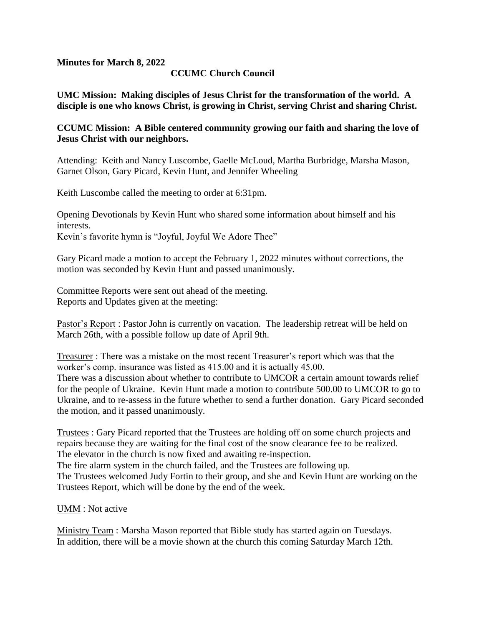**Minutes for March 8, 2022**

## **CCUMC Church Council**

**UMC Mission: Making disciples of Jesus Christ for the transformation of the world. A disciple is one who knows Christ, is growing in Christ, serving Christ and sharing Christ.**

### **CCUMC Mission: A Bible centered community growing our faith and sharing the love of Jesus Christ with our neighbors.**

Attending: Keith and Nancy Luscombe, Gaelle McLoud, Martha Burbridge, Marsha Mason, Garnet Olson, Gary Picard, Kevin Hunt, and Jennifer Wheeling

Keith Luscombe called the meeting to order at 6:31pm.

Opening Devotionals by Kevin Hunt who shared some information about himself and his interests.

Kevin's favorite hymn is "Joyful, Joyful We Adore Thee"

Gary Picard made a motion to accept the February 1, 2022 minutes without corrections, the motion was seconded by Kevin Hunt and passed unanimously.

Committee Reports were sent out ahead of the meeting. Reports and Updates given at the meeting:

Pastor's Report : Pastor John is currently on vacation. The leadership retreat will be held on March 26th, with a possible follow up date of April 9th.

Treasurer : There was a mistake on the most recent Treasurer's report which was that the worker's comp. insurance was listed as 415.00 and it is actually 45.00. There was a discussion about whether to contribute to UMCOR a certain amount towards relief for the people of Ukraine. Kevin Hunt made a motion to contribute 500.00 to UMCOR to go to Ukraine, and to re-assess in the future whether to send a further donation. Gary Picard seconded the motion, and it passed unanimously.

Trustees : Gary Picard reported that the Trustees are holding off on some church projects and repairs because they are waiting for the final cost of the snow clearance fee to be realized. The elevator in the church is now fixed and awaiting re-inspection.

The fire alarm system in the church failed, and the Trustees are following up.

The Trustees welcomed Judy Fortin to their group, and she and Kevin Hunt are working on the Trustees Report, which will be done by the end of the week.

UMM : Not active

Ministry Team : Marsha Mason reported that Bible study has started again on Tuesdays. In addition, there will be a movie shown at the church this coming Saturday March 12th.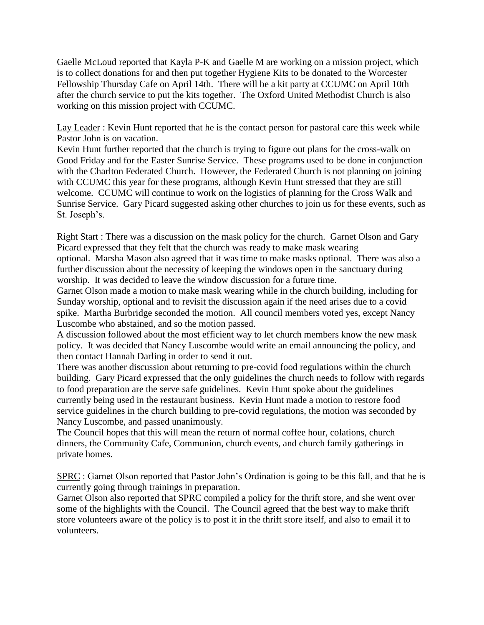Gaelle McLoud reported that Kayla P-K and Gaelle M are working on a mission project, which is to collect donations for and then put together Hygiene Kits to be donated to the Worcester Fellowship Thursday Cafe on April 14th. There will be a kit party at CCUMC on April 10th after the church service to put the kits together. The Oxford United Methodist Church is also working on this mission project with CCUMC.

Lay Leader : Kevin Hunt reported that he is the contact person for pastoral care this week while Pastor John is on vacation.

Kevin Hunt further reported that the church is trying to figure out plans for the cross-walk on Good Friday and for the Easter Sunrise Service. These programs used to be done in conjunction with the Charlton Federated Church. However, the Federated Church is not planning on joining with CCUMC this year for these programs, although Kevin Hunt stressed that they are still welcome. CCUMC will continue to work on the logistics of planning for the Cross Walk and Sunrise Service. Gary Picard suggested asking other churches to join us for these events, such as St. Joseph's.

Right Start : There was a discussion on the mask policy for the church. Garnet Olson and Gary Picard expressed that they felt that the church was ready to make mask wearing optional. Marsha Mason also agreed that it was time to make masks optional. There was also a further discussion about the necessity of keeping the windows open in the sanctuary during worship. It was decided to leave the window discussion for a future time.

Garnet Olson made a motion to make mask wearing while in the church building, including for Sunday worship, optional and to revisit the discussion again if the need arises due to a covid spike. Martha Burbridge seconded the motion. All council members voted yes, except Nancy Luscombe who abstained, and so the motion passed.

A discussion followed about the most efficient way to let church members know the new mask policy. It was decided that Nancy Luscombe would write an email announcing the policy, and then contact Hannah Darling in order to send it out.

There was another discussion about returning to pre-covid food regulations within the church building. Gary Picard expressed that the only guidelines the church needs to follow with regards to food preparation are the serve safe guidelines. Kevin Hunt spoke about the guidelines currently being used in the restaurant business. Kevin Hunt made a motion to restore food service guidelines in the church building to pre-covid regulations, the motion was seconded by Nancy Luscombe, and passed unanimously.

The Council hopes that this will mean the return of normal coffee hour, colations, church dinners, the Community Cafe, Communion, church events, and church family gatherings in private homes.

SPRC : Garnet Olson reported that Pastor John's Ordination is going to be this fall, and that he is currently going through trainings in preparation.

Garnet Olson also reported that SPRC compiled a policy for the thrift store, and she went over some of the highlights with the Council. The Council agreed that the best way to make thrift store volunteers aware of the policy is to post it in the thrift store itself, and also to email it to volunteers.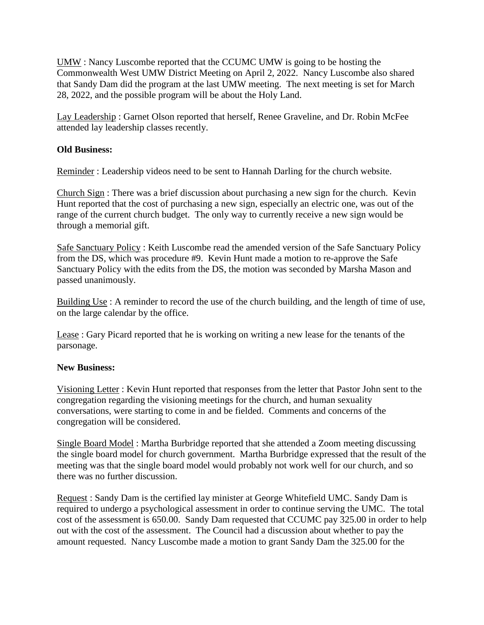UMW : Nancy Luscombe reported that the CCUMC UMW is going to be hosting the Commonwealth West UMW District Meeting on April 2, 2022. Nancy Luscombe also shared that Sandy Dam did the program at the last UMW meeting. The next meeting is set for March 28, 2022, and the possible program will be about the Holy Land.

Lay Leadership : Garnet Olson reported that herself, Renee Graveline, and Dr. Robin McFee attended lay leadership classes recently.

### **Old Business:**

Reminder : Leadership videos need to be sent to Hannah Darling for the church website.

Church Sign : There was a brief discussion about purchasing a new sign for the church. Kevin Hunt reported that the cost of purchasing a new sign, especially an electric one, was out of the range of the current church budget. The only way to currently receive a new sign would be through a memorial gift.

Safe Sanctuary Policy : Keith Luscombe read the amended version of the Safe Sanctuary Policy from the DS, which was procedure #9. Kevin Hunt made a motion to re-approve the Safe Sanctuary Policy with the edits from the DS, the motion was seconded by Marsha Mason and passed unanimously.

Building Use : A reminder to record the use of the church building, and the length of time of use, on the large calendar by the office.

Lease : Gary Picard reported that he is working on writing a new lease for the tenants of the parsonage.

#### **New Business:**

Visioning Letter : Kevin Hunt reported that responses from the letter that Pastor John sent to the congregation regarding the visioning meetings for the church, and human sexuality conversations, were starting to come in and be fielded. Comments and concerns of the congregation will be considered.

Single Board Model : Martha Burbridge reported that she attended a Zoom meeting discussing the single board model for church government. Martha Burbridge expressed that the result of the meeting was that the single board model would probably not work well for our church, and so there was no further discussion.

Request : Sandy Dam is the certified lay minister at George Whitefield UMC. Sandy Dam is required to undergo a psychological assessment in order to continue serving the UMC. The total cost of the assessment is 650.00. Sandy Dam requested that CCUMC pay 325.00 in order to help out with the cost of the assessment. The Council had a discussion about whether to pay the amount requested. Nancy Luscombe made a motion to grant Sandy Dam the 325.00 for the